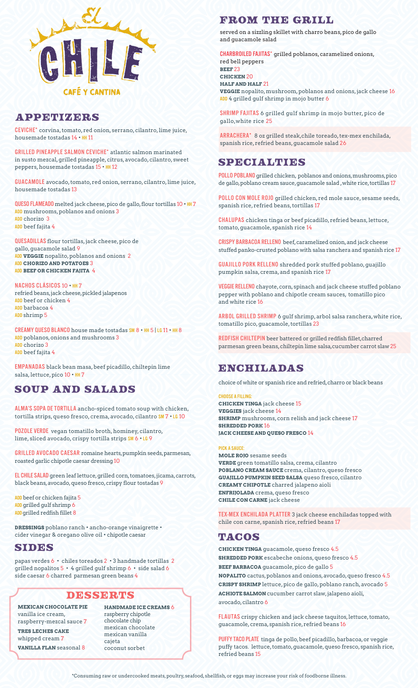

### **APPETIZERS**

CEVICHE\* corvina, tomato, red onion, serrano, cilantro, lime juice, housemade tostadas 14 • HH 11

GRILLED PINEAPPLE SALMON CEVICHE\* atlantic salmon marinated in susto mezcal, grilled pineapple, citrus, avocado, cilantro, sweet peppers, housemade tostadas 15 • HH 12

GUACAMOLE avocado, tomato, red onion, serrano, cilantro, lime juice, housemade tostadas 13

QUESO FLAMEADO melted jack cheese, pico de gallo, flour tortillas 10 • HH 7 ADD mushrooms, poblanos and onions 3 ADD chorizo 3 ADD beef fajita 4

QUESADILLAS flour tortillas, jack cheese, pico de gallo, guacamole salad 9 ADD **VEGGIE** nopalito, poblanos and onions 2 ADD **CHORIZO AND POTATOES** 3 ADD **BEEF OR CHICKEN FAJITA** 4

NACHOS CLÁSICOS 10 • HH 7

refried beans, jack cheese, pickled jalapenos ADD beef or chicken 4 ADD barbacoa 4 ADD shrimp 5

CREAMY QUESO BLANCO house made tostadas SM 8 • HH 5 | LG 11 • HH 8 ADD poblanos, onions and mushrooms 3 ADD chorizo 3 ADD beef fajita 4

EMPANADAS black bean masa, beef picadillo, chiltepin lime salsa, lettuce, pico 10 · HH 7

## SOUP AND SALADS

ALMA'S SOPA DE TORTILLA ancho-spiced tomato soup with chicken, tortilla strips, queso fresco, crema, avocado, cilantro SM 7 • LG 10

POZOLE VERDE vegan tomatillo broth, hominey, cilantro, lime, sliced avocado, crispy tortilla strips SM 6 • LG 9

GRILLED AVOCADO CAESAR romaine hearts, pumpkin seeds, parmesan, roasted garlic chipotle caesar dressing 10

EL CHILE SALAD green leaf lettuce, grilled corn, tomatoes, jicama, carrots, black beans, avocado, queso fresco, crispy flour tostadas 9

ADD beef or chicken fajita 5 ADD grilled gulf shrimp 6 ADD grilled redfish fillet 8

**DRESSINGS** poblano ranch • ancho-orange vinaigrette • cider vinegar & oregano olive oil • chipotle caesar

### SIDES

papas verdes 6 • chiles toreados 2 • 3 handmade tortillas 2 grilled nopalitos 5 • 4 grilled gulf shrimp 6 • side salad 6 side caesar 6 charred parmesan green beans 4

#### DESSERTS

**MEXICAN CHOCOLATE PIE**  vanilla ice cream, raspberry-mezcal sauce 7 **TRES LECHES CAKE**  whipped cream 7 **VANILLA FLAN** seasonal 8

**HANDMADE ICE CREAMS** 6 raspberry chipotle chocolate chip mexican chocolate mexican vanilla cajeta coconut sorbet

## FROM THE GRILL

served on a sizzling skillet with charro beans, pico de gallo and guacamole salad

CHARBROILED FAJITAS\* grilled poblanos, caramelized onions, red bell peppers **BEEF** 23 **CHICKEN** 20 **HALF AND HALF** 21 **VEGGIE** nopalito, mushroom, poblanos and onions, jack cheese 16 ADD 4 grilled gulf shrimp in mojo butter 6

SHRIMP FAJITAS 6 grilled gulf shrimp in mojo butter, pico de gallo,white rice 25

ARRACHERA\* 8 oz grilled steak,chile toreado, tex-mex enchilada, spanish rice, refried beans, guacamole salad 26

## SPECIALTURS

POLLO POBLANO grilled chicken, poblanos and onions, mushrooms, pico de gallo, poblano cream sauce, guacamole salad , white rice, tortillas 17

POLLO CON MOLE ROJO grilled chicken, red mole sauce, sesame seeds, spanish rice, refried beans, tortillas 17

CHALUPAS chicken tinga or beef picadillo, refried beans, lettuce, tomato, guacamole, spanish rice 14

CRISPY BARBACOA RELLENO beef, caramelized onion, and jack cheese stuffed panko-crusted poblano with salsa ranchera and spanish rice 17

GUAJILLO PORK RELLENO shredded pork stuffed poblano, guajillo pumpkin salsa, crema, and spanish rice 17

VEGGIE RELLENO chayote, corn, spinach and jack cheese stuffed poblano pepper with poblano and chipotle cream sauces, tomatillo pico and white rice 16

ARBOL GRILLED SHRIMP 6 gulf shrimp, arbol salsa ranchera, white rice, tomatillo pico, guacamole, tortillas 23

REDFISH CHILTEPIN beer battered or grilled redfish fillet,charred parmesan green beans, chiltepin lime salsa,cucumber carrot slaw 25

## ENCHILADAS

choice of white or spanish rice and refried, charro or black beans

#### CHOOSE A FILLING:

**CHICKEN TINGA** jack cheese 15 **VEGGIES** jack cheese 14 **SHRIMP** mushrooms, corn relish and jack cheese 17 **SHREDDED PORK** 16 **JACK CHEESE AND QUESO FRESCO** 14

#### PICK A SAUCE:

**MOLE ROJO** sesame seeds **VERDE** green tomatillo salsa, crema, cilantro **POBLANO CREAM SAUCE** crema, cilantro, queso fresco **GUAJILLO PUMPKIN SEED SALSA** queso fresco, cilantro **CREAMY CHIPOTLE** charred jalapeno aioli **ENFRIJOLADA** crema, queso fresco **CHILE CON CARNE** jack cheese

TEX-MEX ENCHILADA PLATTER 3 jack cheese enchiladas topped with chile con carne, spanish rice, refried beans 17

## TACOS

**CHICKEN TINGA** guacamole, queso fresco 4.5 **SHREDDED PORK** escabeche onions, queso fresco 4.5 **BEEF BARBACOA** guacamole, pico de gallo 5 **NOPALITO** cactus, poblanos and onions, avocado, queso fresco 4.5 **CRISPY SHRIMP** lettuce, pico de gallo, poblano ranch, avocado 5 **ACHIOTE SALMON** cucumber carrot slaw, jalapeno aioli, avocado, cilantro 6

FLAUTAS crispy chicken and jack cheese taquitos, lettuce, tomato, guacamole, crema, spanish rice, refried beans 16

PUFFY TACO PLATE tinga de pollo, beef picadillo, barbacoa, or veggie puffy tacos. lettuce, tomato, guacamole, queso fresco, spanish rice, refried beans 15

\*Consuming raw or undercooked meats, poultry, seafood, shellfish, or eggs may increase your risk of foodborne illness.